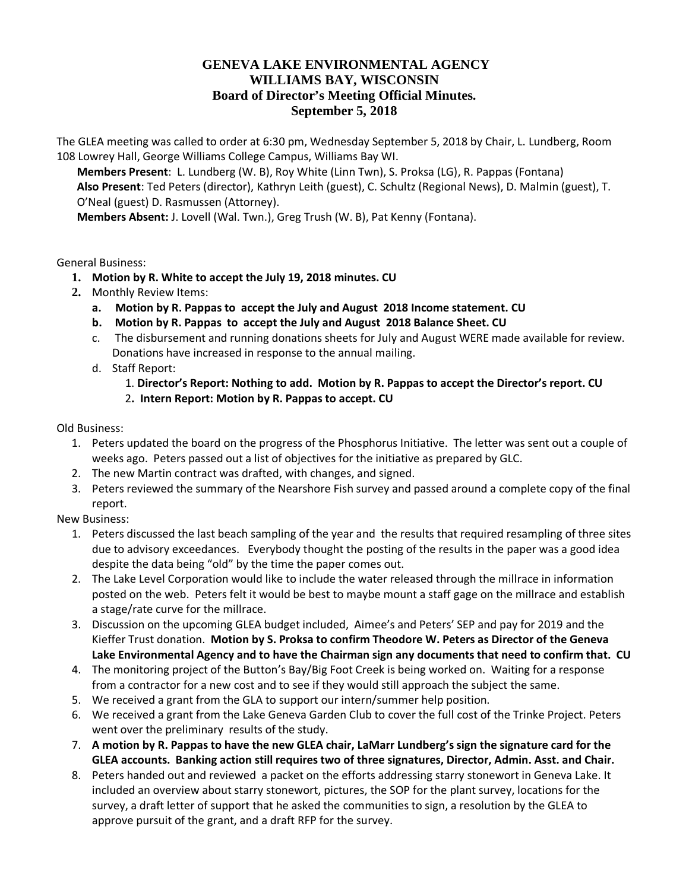## **GENEVA LAKE ENVIRONMENTAL AGENCY WILLIAMS BAY, WISCONSIN Board of Director's Meeting Official Minutes. September 5, 2018**

The GLEA meeting was called to order at 6:30 pm, Wednesday September 5, 2018 by Chair, L. Lundberg, Room 108 Lowrey Hall, George Williams College Campus, Williams Bay WI.

**Members Present**: L. Lundberg (W. B), Roy White (Linn Twn), S. Proksa (LG), R. Pappas (Fontana) **Also Present**: Ted Peters (director), Kathryn Leith (guest), C. Schultz (Regional News), D. Malmin (guest), T. O'Neal (guest) D. Rasmussen (Attorney).

**Members Absent:** J. Lovell (Wal. Twn.), Greg Trush (W. B), Pat Kenny (Fontana).

General Business:

- **1. Motion by R. White to accept the July 19, 2018 minutes. CU**
- **2.** Monthly Review Items:
	- **a. Motion by R. Pappas to accept the July and August 2018 Income statement. CU**
	- **b. Motion by R. Pappas to accept the July and August 2018 Balance Sheet. CU**
	- c. The disbursement and running donations sheets for July and August WERE made available for review. Donations have increased in response to the annual mailing.
	- d. Staff Report:
		- 1. **Director's Report: Nothing to add. Motion by R. Pappas to accept the Director's report. CU**
		- 2**. Intern Report: Motion by R. Pappas to accept. CU**

Old Business:

- 1. Peters updated the board on the progress of the Phosphorus Initiative. The letter was sent out a couple of weeks ago. Peters passed out a list of objectives for the initiative as prepared by GLC.
- 2. The new Martin contract was drafted, with changes, and signed.
- 3. Peters reviewed the summary of the Nearshore Fish survey and passed around a complete copy of the final report.

New Business:

- 1. Peters discussed the last beach sampling of the year and the results that required resampling of three sites due to advisory exceedances. Everybody thought the posting of the results in the paper was a good idea despite the data being "old" by the time the paper comes out.
- 2. The Lake Level Corporation would like to include the water released through the millrace in information posted on the web. Peters felt it would be best to maybe mount a staff gage on the millrace and establish a stage/rate curve for the millrace.
- 3. Discussion on the upcoming GLEA budget included, Aimee's and Peters' SEP and pay for 2019 and the Kieffer Trust donation. **Motion by S. Proksa to confirm Theodore W. Peters as Director of the Geneva Lake Environmental Agency and to have the Chairman sign any documents that need to confirm that. CU**
- 4. The monitoring project of the Button's Bay/Big Foot Creek is being worked on. Waiting for a response from a contractor for a new cost and to see if they would still approach the subject the same.
- 5. We received a grant from the GLA to support our intern/summer help position.
- 6. We received a grant from the Lake Geneva Garden Club to cover the full cost of the Trinke Project. Peters went over the preliminary results of the study.
- 7. **A motion by R. Pappas to have the new GLEA chair, LaMarr Lundberg's sign the signature card for the GLEA accounts. Banking action still requires two of three signatures, Director, Admin. Asst. and Chair.**
- 8. Peters handed out and reviewed a packet on the efforts addressing starry stonewort in Geneva Lake. It included an overview about starry stonewort, pictures, the SOP for the plant survey, locations for the survey, a draft letter of support that he asked the communities to sign, a resolution by the GLEA to approve pursuit of the grant, and a draft RFP for the survey.